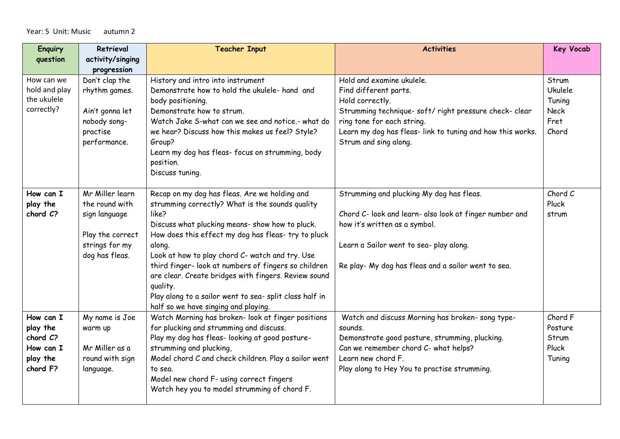## Year: 5 Unit: Music autumn 2

| <b>Enquiry</b> | Retrieval        | <b>Teacher Input</b>                                                                                    | <b>Activities</b>                                          | <b>Key Vocab</b> |
|----------------|------------------|---------------------------------------------------------------------------------------------------------|------------------------------------------------------------|------------------|
| question       | activity/singing |                                                                                                         |                                                            |                  |
|                | progression      |                                                                                                         |                                                            |                  |
| How can we     | Don't clap the   | History and intro into instrument                                                                       | Hold and examine ukulele.                                  | Strum            |
| hold and play  | rhythm games.    | Demonstrate how to hold the ukulele- hand and                                                           | Find different parts.                                      | <b>Ukulele</b>   |
| the ukulele    |                  | body positioning.                                                                                       | Hold correctly.                                            | Tuning           |
| correctly?     | Ain't gonna let  | Demonstrate how to strum.                                                                               | Strumming technique- soft/ right pressure check- clear     | <b>Neck</b>      |
|                | nobody song-     | Watch Jake S-what can we see and notice.- what do                                                       | ring tone for each string.                                 | Fret             |
|                | practise         | we hear? Discuss how this makes us feel? Style?                                                         | Learn my dog has fleas- link to tuning and how this works. | Chord            |
|                | performance.     | Group?                                                                                                  | Strum and sing along.                                      |                  |
|                |                  | Learn my dog has fleas- focus on strumming, body                                                        |                                                            |                  |
|                |                  | position.                                                                                               |                                                            |                  |
|                |                  | Discuss tuning.                                                                                         |                                                            |                  |
|                |                  |                                                                                                         |                                                            |                  |
| How can I      | Mr Miller learn  | Recap on my dog has fleas. Are we holding and                                                           | Strumming and plucking My dog has fleas.                   | Chord C          |
| play the       | the round with   | strumming correctly? What is the sounds quality                                                         |                                                            | Pluck            |
| chord C?       | sign language    | like?                                                                                                   | Chord C- look and learn- also look at finger number and    | strum            |
|                |                  | Discuss what plucking means- show how to pluck.                                                         | how it's written as a symbol.                              |                  |
|                | Play the correct | How does this effect my dog has fleas- try to pluck                                                     |                                                            |                  |
|                | strings for my   | along.                                                                                                  | Learn a Sailor went to sea- play along.                    |                  |
|                | dog has fleas.   | Look at how to play chord C- watch and try. Use<br>third finger- look at numbers of fingers so children |                                                            |                  |
|                |                  | are clear. Create bridges with fingers. Review sound                                                    | Re play- My dog has fleas and a sailor went to sea.        |                  |
|                |                  | quality.                                                                                                |                                                            |                  |
|                |                  | Play along to a sailor went to sea- split class half in                                                 |                                                            |                  |
|                |                  | half so we have singing and playing.                                                                    |                                                            |                  |
| How can I      | My name is Joe   | Watch Morning has broken- look at finger positions                                                      | Watch and discuss Morning has broken-song type-            | Chord F          |
| play the       | warm up          | for plucking and strumming and discuss.                                                                 | sounds.                                                    | Posture          |
| chord C?       |                  | Play my dog has fleas- looking at good posture-                                                         | Demonstrate good posture, strumming, plucking.             | Strum            |
| How can I      | Mr Miller as a   | strumming and plucking,                                                                                 | Can we remember chord C- what helps?                       | Pluck            |
| play the       | round with sign  | Model chord C and check children. Play a sailor went                                                    | Learn new chord F.                                         | Tuning           |
| chord F?       | language.        | to sea.                                                                                                 | Play along to Hey You to practise strumming.               |                  |
|                |                  | Model new chord F- using correct fingers                                                                |                                                            |                  |
|                |                  | Watch hey you to model strumming of chord F.                                                            |                                                            |                  |
|                |                  |                                                                                                         |                                                            |                  |